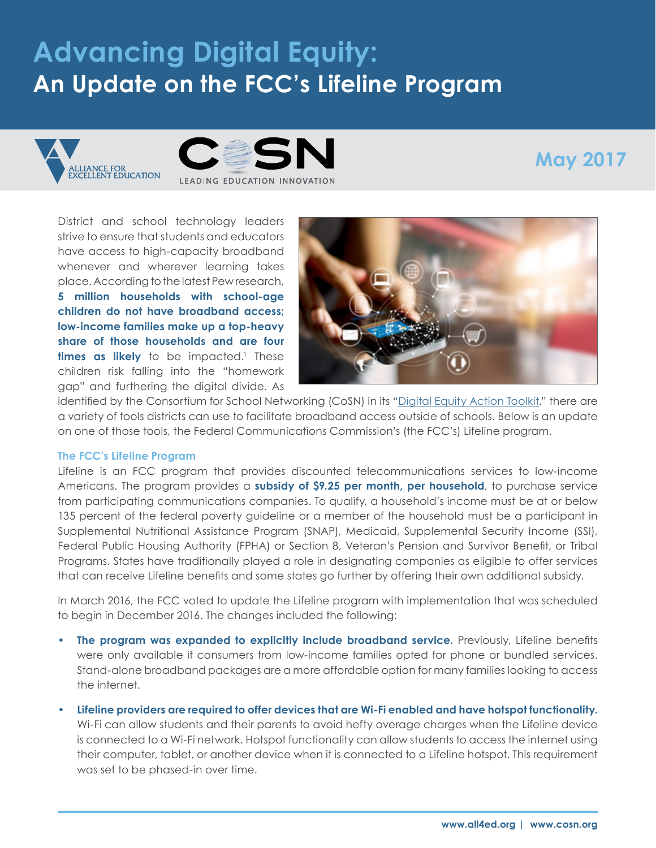# **Advancing Digital Equity: An Update on the FCC's Lifeline Program**





# **May 2017**

District and school technology leaders strive to ensure that students and educators have access to high-capacity broadband whenever and wherever learning takes place. According to the latest Pew research, **5 million households with school-age children do not have broadband access; low-income families make up a top-heavy share of those households and are four times as likely** to be impacted.<sup>1</sup> These children risk falling into the "homework gap" and furthering the digital divide. As



identified by the Consortium for School Networking (CoSN) in its "Digital Equity Action Toolkit," there are a variety of tools districts can use to facilitate broadband access outside of schools. Below is an update on one of those tools, the Federal Communications Commission's (the FCC's) Lifeline program.

#### **The FCC's Lifeline Program**

Lifeline is an FCC program that provides discounted telecommunications services to low-income Americans. The program provides a **subsidy of \$9.25 per month, per household**, to purchase service from participating communications companies. To qualify, a household's income must be at or below 135 percent of the federal poverty guideline or a member of the household must be a participant in Supplemental Nutritional Assistance Program (SNAP), Medicaid, Supplemental Security Income (SSI), Federal Public Housing Authority (FPHA) or Section 8, Veteran's Pension and Survivor Benefit, or Tribal Programs. States have traditionally played a role in designating companies as eligible to offer services that can receive Lifeline benefits and some states go further by offering their own additional subsidy.

In March 2016, the FCC voted to update the Lifeline program with implementation that was scheduled to begin in December 2016. The changes included the following:

- **• The program was expanded to explicitly include broadband service.** Previously, Lifeline benefits were only available if consumers from low-income families opted for phone or bundled services. Stand-alone broadband packages are a more affordable option for many families looking to access the internet.
- **• Lifeline providers are required to offer devices that are Wi-Fi enabled and have hotspot functionality.** Wi-Fi can allow students and their parents to avoid hefty overage charges when the Lifeline device is connected to a Wi-Fi network. Hotspot functionality can allow students to access the internet using their computer, tablet, or another device when it is connected to a Lifeline hotspot. This requirement was set to be phased-in over time.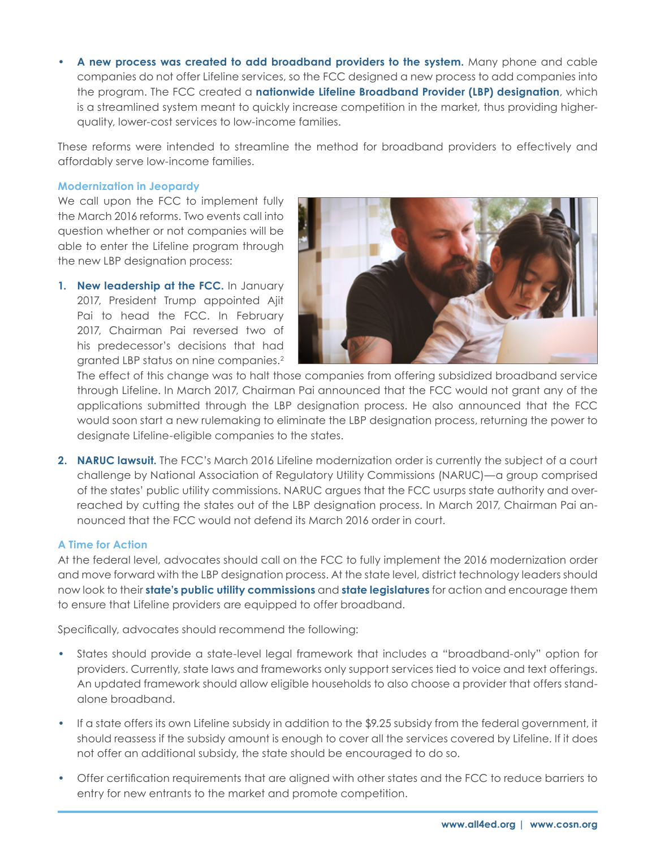**• A new process was created to add broadband providers to the system.** Many phone and cable companies do not offer Lifeline services, so the FCC designed a new process to add companies into the program. The FCC created a **nationwide Lifeline Broadband Provider (LBP) designation**, which is a streamlined system meant to quickly increase competition in the market, thus providing higherquality, lower-cost services to low-income families.

These reforms were intended to streamline the method for broadband providers to effectively and affordably serve low-income families.

### **Modernization in Jeopardy**

We call upon the FCC to implement fully the March 2016 reforms. Two events call into question whether or not companies will be able to enter the Lifeline program through the new LBP designation process:

**1. New leadership at the FCC.** In January 2017, President Trump appointed Ajit Pai to head the FCC. In February 2017, Chairman Pai reversed two of his predecessor's decisions that had granted LBP status on nine companies.2



The effect of this change was to halt those companies from offering subsidized broadband service through Lifeline. In March 2017, Chairman Pai announced that the FCC would not grant any of the applications submitted through the LBP designation process. He also announced that the FCC would soon start a new rulemaking to eliminate the LBP designation process, returning the power to designate Lifeline-eligible companies to the states.

**2. NARUC lawsuit.** The FCC's March 2016 Lifeline modernization order is currently the subject of a court challenge by National Association of Regulatory Utility Commissions (NARUC)—a group comprised of the states' public utility commissions. NARUC argues that the FCC usurps state authority and overreached by cutting the states out of the LBP designation process. In March 2017, Chairman Pai announced that the FCC would not defend its March 2016 order in court.

## **A Time for Action**

At the federal level, advocates should call on the FCC to fully implement the 2016 modernization order and move forward with the LBP designation process. At the state level, district technology leaders should now look to their **state's public utility commissions** and **state legislatures** for action and encourage them to ensure that Lifeline providers are equipped to offer broadband.

Specifically, advocates should recommend the following:

- **•** States should provide a state-level legal framework that includes a "broadband-only" option for providers. Currently, state laws and frameworks only support services tied to voice and text offerings. An updated framework should allow eligible households to also choose a provider that offers standalone broadband.
- **•** If a state offers its own Lifeline subsidy in addition to the \$9.25 subsidy from the federal government, it should reassess if the subsidy amount is enough to cover all the services covered by Lifeline. If it does not offer an additional subsidy, the state should be encouraged to do so.
- **•** Offer certification requirements that are aligned with other states and the FCC to reduce barriers to entry for new entrants to the market and promote competition.